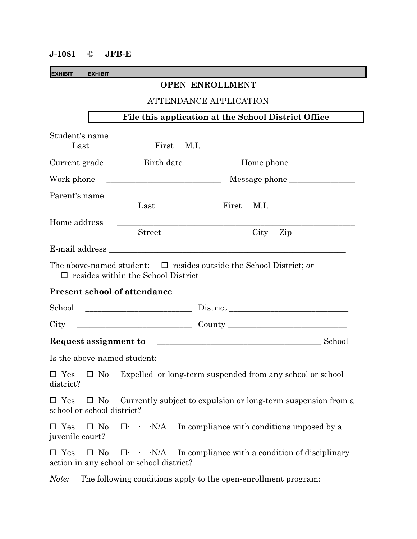## **J-1081** © **JFB-E**

**EXHIBIT EXHIBIT**

## **OPEN ENROLLMENT**

ATTENDANCE APPLICATION

| Student's name<br>Last                                                                                                                                         | First<br>M.I.                                                                                                        |                                                                                  |          |  |
|----------------------------------------------------------------------------------------------------------------------------------------------------------------|----------------------------------------------------------------------------------------------------------------------|----------------------------------------------------------------------------------|----------|--|
|                                                                                                                                                                |                                                                                                                      | Current grade ______ Birth date ___________ Home phone__________________________ |          |  |
| Work phone                                                                                                                                                     |                                                                                                                      |                                                                                  |          |  |
|                                                                                                                                                                | Parent's name<br>Last                                                                                                | First M.I.                                                                       |          |  |
| Home address                                                                                                                                                   | <b>Street</b>                                                                                                        |                                                                                  | City Zip |  |
|                                                                                                                                                                | E-mail address                                                                                                       |                                                                                  |          |  |
|                                                                                                                                                                | The above-named student: $\Box$ resides outside the School District; or<br>$\Box$ resides within the School District |                                                                                  |          |  |
| <b>Present school of attendance</b>                                                                                                                            |                                                                                                                      |                                                                                  |          |  |
| School                                                                                                                                                         |                                                                                                                      |                                                                                  |          |  |
| City                                                                                                                                                           |                                                                                                                      |                                                                                  |          |  |
| Request assignment to School                                                                                                                                   |                                                                                                                      |                                                                                  |          |  |
| Is the above-named student:                                                                                                                                    |                                                                                                                      |                                                                                  |          |  |
| $\square$ Yes<br>$\square$ No<br>district?                                                                                                                     | Expelled or long-term suspended from any school or school                                                            |                                                                                  |          |  |
| $\square$ No Currently subject to expulsion or long-term suspension from a<br>$\square$ Yes<br>school or school district?                                      |                                                                                                                      |                                                                                  |          |  |
| $\Box$ Yes<br>$\Box$ No<br>juvenile court?                                                                                                                     |                                                                                                                      |                                                                                  |          |  |
| $\Box$ No $\Box \cdot \cdot \cdot \cdot \cdot$ N/A In compliance with a condition of disciplinary<br>$\square$ Yes<br>action in any school or school district? |                                                                                                                      |                                                                                  |          |  |

*Note:* The following conditions apply to the open-enrollment program: